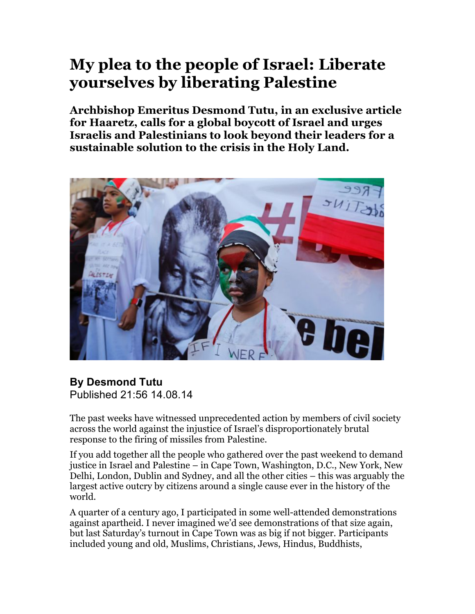## **My plea to the people of Israel: Liberate yourselves by liberating Palestine**

**Archbishop Emeritus Desmond Tutu, in an exclusive article for Haaretz, calls for a global boycott of Israel and urges Israelis and Palestinians to look beyond their leaders for a sustainable solution to the crisis in the Holy Land.**



## **By Desmond Tutu** Published 21:56 14.08.14

The past weeks have witnessed unprecedented action by members of civil society across the world against the injustice of Israel's disproportionately brutal response to the firing of missiles from Palestine.

If you add together all the people who gathered over the past weekend to demand justice in Israel and Palestine – in Cape Town, Washington, D.C., New York, New Delhi, London, Dublin and Sydney, and all the other cities – this was arguably the largest active outcry by citizens around a single cause ever in the history of the world.

A quarter of a century ago, I participated in some well-attended demonstrations against apartheid. I never imagined we'd see demonstrations of that size again, but last Saturday's turnout in Cape Town was as big if not bigger. Participants included young and old, Muslims, Christians, Jews, Hindus, Buddhists,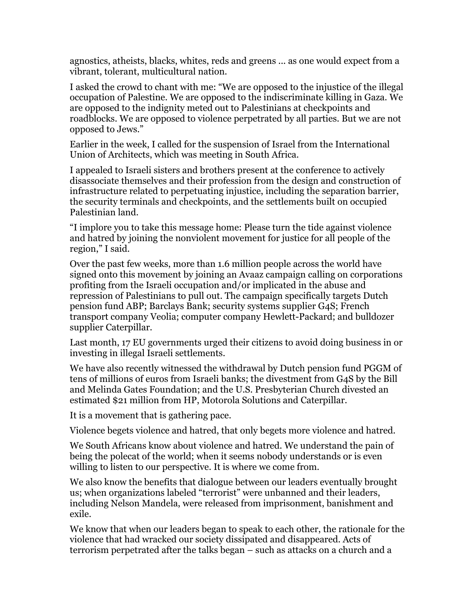agnostics, atheists, blacks, whites, reds and greens ... as one would expect from a vibrant, tolerant, multicultural nation.

I asked the crowd to chant with me: "We are opposed to the injustice of the illegal occupation of Palestine. We are opposed to the indiscriminate killing in Gaza. We are opposed to the indignity meted out to Palestinians at checkpoints and roadblocks. We are opposed to violence perpetrated by all parties. But we are not opposed to Jews."

Earlier in the week, I called for the suspension of Israel from the International Union of Architects, which was meeting in South Africa.

I appealed to Israeli sisters and brothers present at the conference to actively disassociate themselves and their profession from the design and construction of infrastructure related to perpetuating injustice, including the separation barrier, the security terminals and checkpoints, and the settlements built on occupied Palestinian land.

"I implore you to take this message home: Please turn the tide against violence and hatred by joining the nonviolent movement for justice for all people of the region," I said.

Over the past few weeks, more than 1.6 million people across the world have signed onto this movement by joining an Avaaz campaign calling on corporations profiting from the Israeli occupation and/or implicated in the abuse and repression of Palestinians to pull out. The campaign specifically targets Dutch pension fund ABP; Barclays Bank; security systems supplier G4S; French transport company Veolia; computer company Hewlett-Packard; and bulldozer supplier Caterpillar.

Last month, 17 EU governments urged their citizens to avoid doing business in or investing in illegal Israeli settlements.

We have also recently witnessed the withdrawal by Dutch pension fund PGGM of tens of millions of euros from Israeli banks; the divestment from G4S by the Bill and Melinda Gates Foundation; and the U.S. Presbyterian Church divested an estimated \$21 million from HP, Motorola Solutions and Caterpillar.

It is a movement that is gathering pace.

Violence begets violence and hatred, that only begets more violence and hatred.

We South Africans know about violence and hatred. We understand the pain of being the polecat of the world; when it seems nobody understands or is even willing to listen to our perspective. It is where we come from.

We also know the benefits that dialogue between our leaders eventually brought us; when organizations labeled "terrorist" were unbanned and their leaders, including Nelson Mandela, were released from imprisonment, banishment and exile.

We know that when our leaders began to speak to each other, the rationale for the violence that had wracked our society dissipated and disappeared. Acts of terrorism perpetrated after the talks began – such as attacks on a church and a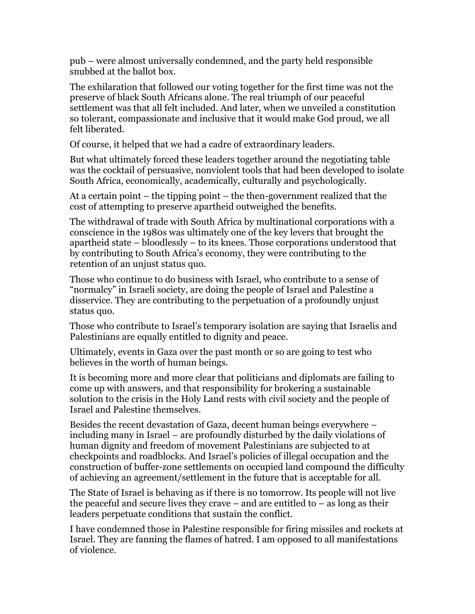pub – were almost universally condemned, and the party held responsible snubbed at the ballot box.

The exhilaration that followed our voting together for the first time was not the preserve of black South Africans alone. The real triumph of our peaceful settlement was that all felt included. And later, when we unveiled a constitution so tolerant, compassionate and inclusive that it would make God proud, we all felt liberated.

Of course, it helped that we had a cadre of extraordinary leaders.

But what ultimately forced these leaders together around the negotiating table was the cocktail of persuasive, nonviolent tools that had been developed to isolate South Africa, economically, academically, culturally and psychologically.

At a certain point – the tipping point – the then-government realized that the cost of attempting to preserve apartheid outweighed the benefits.

The withdrawal of trade with South Africa by multinational corporations with a conscience in the 1980s was ultimately one of the key levers that brought the apartheid state – bloodlessly – to its knees. Those corporations understood that by contributing to South Africa's economy, they were contributing to the retention of an unjust status quo.

Those who continue to do business with Israel, who contribute to a sense of "normalcy" in Israeli society, are doing the people of Israel and Palestine a disservice. They are contributing to the perpetuation of a profoundly unjust status quo.

Those who contribute to Israel's temporary isolation are saying that Israelis and Palestinians are equally entitled to dignity and peace.

Ultimately, events in Gaza over the past month or so are going to test who believes in the worth of human beings.

It is becoming more and more clear that politicians and diplomats are failing to come up with answers, and that responsibility for brokering a sustainable solution to the crisis in the Holy Land rests with civil society and the people of Israel and Palestine themselves.

Besides the recent devastation of Gaza, decent human beings everywhere – including many in Israel – are profoundly disturbed by the daily violations of human dignity and freedom of movement Palestinians are subjected to at checkpoints and roadblocks. And Israel's policies of illegal occupation and the construction of buffer-zone settlements on occupied land compound the difficulty of achieving an agreement/settlement in the future that is acceptable for all.

The State of Israel is behaving as if there is no tomorrow. Its people will not live the peaceful and secure lives they crave – and are entitled to – as long as their leaders perpetuate conditions that sustain the conflict.

I have condemned those in Palestine responsible for firing missiles and rockets at Israel. They are fanning the flames of hatred. I am opposed to all manifestations of violence.